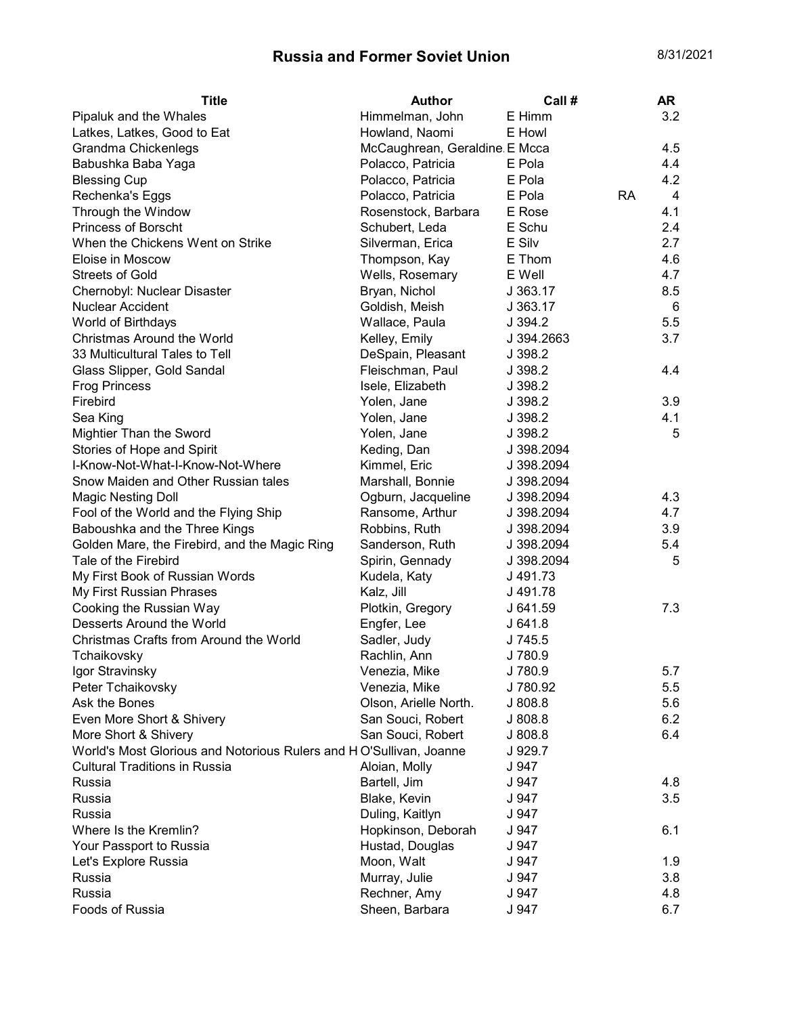## Russia and Former Soviet Union 8/31/2021

| <b>Title</b>                                                       | <b>Author</b>                 | Call #     |           | <b>AR</b>      |
|--------------------------------------------------------------------|-------------------------------|------------|-----------|----------------|
| Pipaluk and the Whales                                             | Himmelman, John               | E Himm     |           | 3.2            |
| Latkes, Latkes, Good to Eat                                        | Howland, Naomi                | E Howl     |           |                |
| Grandma Chickenlegs                                                | McCaughrean, Geraldine E Mcca |            |           | 4.5            |
| Babushka Baba Yaga                                                 | Polacco, Patricia             | E Pola     |           | 4.4            |
| <b>Blessing Cup</b>                                                | Polacco, Patricia             | E Pola     |           | 4.2            |
| Rechenka's Eggs                                                    | Polacco, Patricia             | E Pola     | <b>RA</b> | $\overline{4}$ |
| Through the Window                                                 | Rosenstock, Barbara           | E Rose     |           | 4.1            |
| <b>Princess of Borscht</b>                                         | Schubert, Leda                | E Schu     |           | 2.4            |
| When the Chickens Went on Strike                                   | Silverman, Erica              | E Silv     |           | 2.7            |
| Eloise in Moscow                                                   | Thompson, Kay                 | E Thom     |           | 4.6            |
| <b>Streets of Gold</b>                                             | Wells, Rosemary               | E Well     |           | 4.7            |
| Chernobyl: Nuclear Disaster                                        | Bryan, Nichol                 | J 363.17   |           | 8.5            |
| <b>Nuclear Accident</b>                                            | Goldish, Meish                | J 363.17   |           | 6              |
| World of Birthdays                                                 | Wallace, Paula                | J.394.2    |           | 5.5            |
| Christmas Around the World                                         | Kelley, Emily                 | J 394.2663 |           | 3.7            |
| 33 Multicultural Tales to Tell                                     | DeSpain, Pleasant             | J 398.2    |           |                |
| Glass Slipper, Gold Sandal                                         | Fleischman, Paul              | J 398.2    |           | 4.4            |
| <b>Frog Princess</b>                                               | Isele, Elizabeth              | J 398.2    |           |                |
| Firebird                                                           | Yolen, Jane                   | J 398.2    |           | 3.9            |
| Sea King                                                           | Yolen, Jane                   | J 398.2    |           | 4.1            |
| Mightier Than the Sword                                            | Yolen, Jane                   | J 398.2    |           | 5              |
| Stories of Hope and Spirit                                         | Keding, Dan                   | J 398.2094 |           |                |
| I-Know-Not-What-I-Know-Not-Where                                   | Kimmel, Eric                  | J 398.2094 |           |                |
| Snow Maiden and Other Russian tales                                | Marshall, Bonnie              | J 398.2094 |           |                |
| <b>Magic Nesting Doll</b>                                          | Ogburn, Jacqueline            | J 398.2094 |           | 4.3            |
| Fool of the World and the Flying Ship                              | Ransome, Arthur               | J 398.2094 |           | 4.7            |
| Baboushka and the Three Kings                                      | Robbins, Ruth                 | J 398.2094 |           | 3.9            |
| Golden Mare, the Firebird, and the Magic Ring                      | Sanderson, Ruth               | J 398.2094 |           | 5.4            |
| Tale of the Firebird                                               | Spirin, Gennady               | J 398.2094 |           | 5              |
| My First Book of Russian Words                                     | Kudela, Katy                  | J 491.73   |           |                |
| My First Russian Phrases                                           | Kalz, Jill                    | J 491.78   |           |                |
| Cooking the Russian Way                                            | Plotkin, Gregory              | J 641.59   |           | 7.3            |
| Desserts Around the World                                          | Engfer, Lee                   | J641.8     |           |                |
| Christmas Crafts from Around the World                             | Sadler, Judy                  | J 745.5    |           |                |
| Tchaikovsky                                                        | Rachlin, Ann                  | J 780.9    |           |                |
| Igor Stravinsky                                                    | Venezia, Mike                 | J 780.9    |           | 5.7            |
| Peter Tchaikovsky                                                  | Venezia, Mike                 | J 780.92   |           | 5.5            |
| Ask the Bones                                                      | Olson, Arielle North.         | J 808.8    |           | 5.6            |
| Even More Short & Shivery                                          | San Souci, Robert             | J 808.8    |           | 6.2            |
| More Short & Shivery                                               | San Souci, Robert             | J 808.8    |           | 6.4            |
| World's Most Glorious and Notorious Rulers and HO'Sullivan, Joanne |                               | J 929.7    |           |                |
| <b>Cultural Traditions in Russia</b>                               | Aloian, Molly                 | J 947      |           |                |
| Russia                                                             | Bartell, Jim                  | J 947      |           | 4.8            |
| Russia                                                             | Blake, Kevin                  | J 947      |           | 3.5            |
| Russia                                                             | Duling, Kaitlyn               | J 947      |           |                |
| Where Is the Kremlin?                                              | Hopkinson, Deborah            | J 947      |           | 6.1            |
| Your Passport to Russia                                            | Hustad, Douglas               | J 947      |           |                |
| Let's Explore Russia                                               | Moon, Walt                    | J 947      |           | 1.9            |
| Russia                                                             | Murray, Julie                 | J 947      |           | 3.8            |
| Russia                                                             | Rechner, Amy                  | J 947      |           | 4.8            |
| Foods of Russia                                                    | Sheen, Barbara                | J 947      |           | 6.7            |